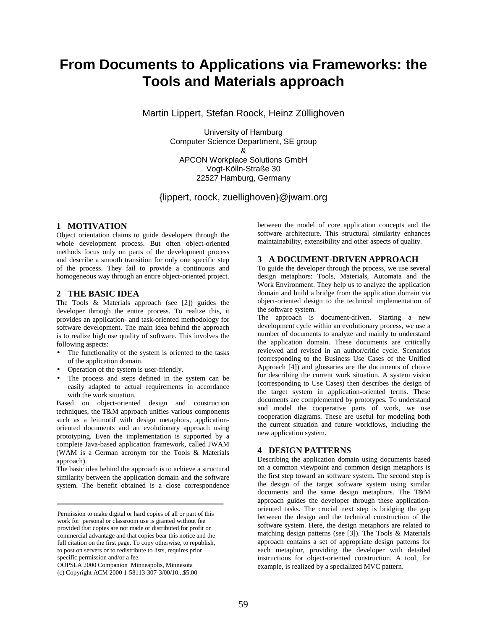# **From Documents to Applications via Frameworks: the Tools and Materials approach**

Martin Lippert, Stefan Roock, Heinz Züllighoven

University of Hamburg Computer Science Department, SE group & APCON Workplace Solutions GmbH Vogt-Kölln-Straße 30 22527 Hamburg, Germany

{lippert, roock, zuellighoven}@jwam.org

#### **1 MOTIVATION**

Object orientation claims to guide developers through the whole development process. But often object-oriented methods focus only on parts of the development process and describe a smooth transition for only one specific step of the process. They fail to provide a continuous and homogeneous way through an entire object-oriented project.

#### **2 THE BASIC IDEA**

The Tools & Materials approach (see [2]) guides the developer through the entire process. To realize this, it provides an application- and task-oriented methodology for software development. The main idea behind the approach is to realize high use quality of software. This involves the following aspects:

- The functionality of the system is oriented to the tasks of the application domain.
- Operation of the system is user-friendly.
- The process and steps defined in the system can be easily adapted to actual requirements in accordance with the work situation.

Based on object-oriented design and construction techniques, the T&M approach unifies various components such as a leitmotif with design metaphors, applicationoriented documents and an evolutionary approach using prototyping. Even the implementation is supported by a complete Java-based application framework, called JWAM (WAM is a German acronym for the Tools & Materials approach).

The basic idea behind the approach is to achieve a structural similarity between the application domain and the software system. The benefit obtained is a close correspondence

OOPSLA 2000 Companion Minneapolis, Minnesota (c) Copyright ACM 2000 1-58113-307-3/00/10...\$5.00 between the model of core application concepts and the software architecture. This structural similarity enhances maintainability, extensibility and other aspects of quality.

## **3 A DOCUMENT-DRIVEN APPROACH**

To guide the developer through the process, we use several design metaphors: Tools, Materials, Automata and the Work Environment. They help us to analyze the application domain and build a bridge from the application domain via object-oriented design to the technical implementation of the software system.

The approach is document-driven. Starting a new development cycle within an evolutionary process, we use a number of documents to analyze and mainly to understand the application domain. These documents are critically reviewed and revised in an author/critic cycle. Scenarios (corresponding to the Business Use Cases of the Unified Approach [4]) and glossaries are the documents of choice for describing the current work situation. A system vision (corresponding to Use Cases) then describes the design of the target system in application-oriented terms. These documents are complemented by prototypes. To understand and model the cooperative parts of work, we use cooperation diagrams. These are useful for modeling both the current situation and future workflows, including the new application system.

# **4 DESIGN PATTERNS**

Describing the application domain using documents based on a common viewpoint and common design metaphors is the first step toward an software system. The second step is the design of the target software system using similar documents and the same design metaphors. The T&M approach guides the developer through these applicationoriented tasks. The crucial next step is bridging the gap between the design and the technical construction of the software system. Here, the design metaphors are related to matching design patterns (see [3]). The Tools & Materials approach contains a set of appropriate design patterns for each metaphor, providing the developer with detailed instructions for object-oriented construction. A tool, for example, is realized by a specialized MVC pattern.

Permission to make digital or hard copies of all or part of this work for personal or classroom use is granted without fee provided that copies are not made or distributed for profit or commercial advantage and that copies bear this notice and the full citation on the first page. To copy otherwise, to republish, to post on servers or to redistribute to lists, requires prior specific permission and/or a fee.